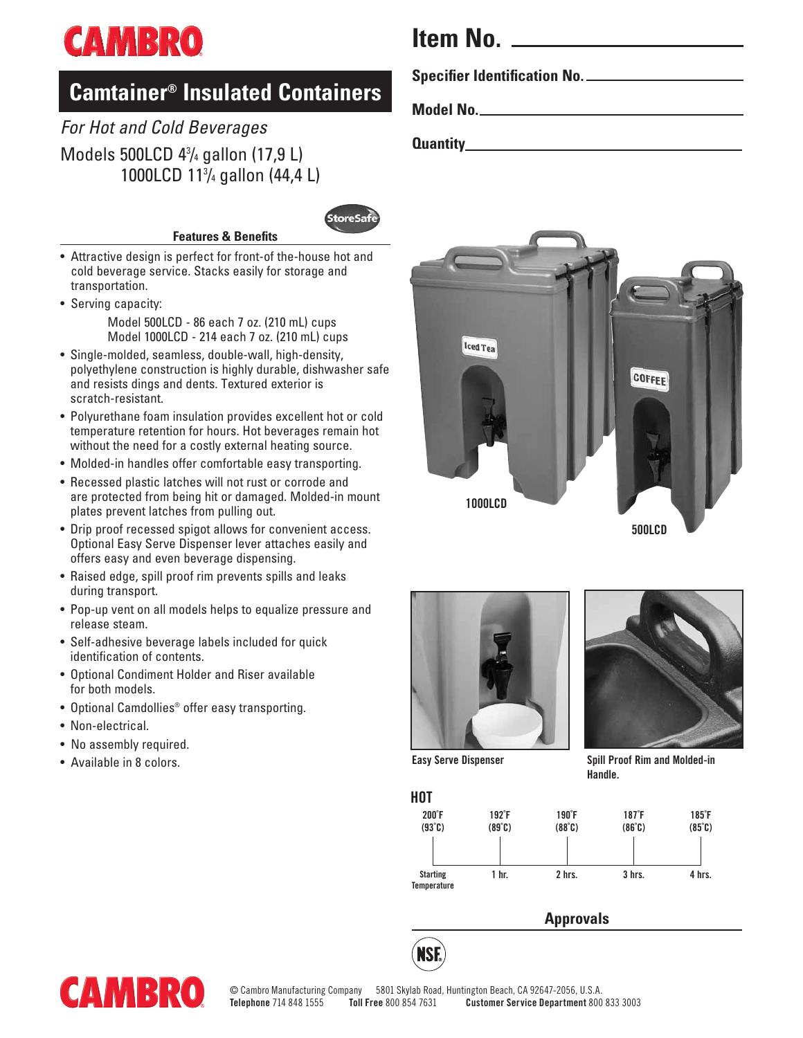# **CAMBRO**

### **Camtainer® Insulated Containers**

### *For Hot and Cold Beverages* Models 500LCD 43 /4 gallon (17,9 L) 1000LCD 113 /4 gallon (44,4 L)



- **Features & Benefits**
- Attractive design is perfect for front-of the-house hot and cold beverage service. Stacks easily for storage and transportation.
- Serving capacity: Model 500LCD - 86 each 7 oz. (210 mL) cups Model 1000LCD - 214 each 7 oz. (210 mL) cups
- Single-molded, seamless, double-wall, high-density, polyethylene construction is highly durable, dishwasher safe and resists dings and dents. Textured exterior is scratch-resistant.
- Polyurethane foam insulation provides excellent hot or cold temperature retention for hours. Hot beverages remain hot without the need for a costly external heating source.
- Molded-in handles offer comfortable easy transporting.
- Recessed plastic latches will not rust or corrode and are protected from being hit or damaged. Molded-in mount plates prevent latches from pulling out.
- Drip proof recessed spigot allows for convenient access. Optional Easy Serve Dispenser lever attaches easily and offers easy and even beverage dispensing.
- Raised edge, spill proof rim prevents spills and leaks during transport.
- Pop-up vent on all models helps to equalize pressure and release steam.
- Self-adhesive beverage labels included for quick identification of contents.
- Optional Condiment Holder and Riser available for both models.
- Optional Camdollies® offer easy transporting.
- Non-electrical.
- No assembly required.
- Available in 8 colors.



**Specifier Identification No.**

**Model No.**

**Quantity**











**Easy Serve Dispenser Spill Proof Rim and Molded-in Handle.**

| H <sub>0</sub> T                      |                         |                 |                              |                                        |
|---------------------------------------|-------------------------|-----------------|------------------------------|----------------------------------------|
| 200 <sup>°</sup> F<br>$(93^{\circ}C)$ | $192^\circ F$<br>(89°C) | 190°F<br>(88°C) | 187 <sup>°</sup> F<br>(86°C) | $185^\circ F$<br>$(85^\circ \text{C})$ |
| <b>Starting</b><br>Temperature        | 1 hr.                   | 2 hrs.          | 3 hrs.                       | 4 hrs.                                 |

### **Approvals**